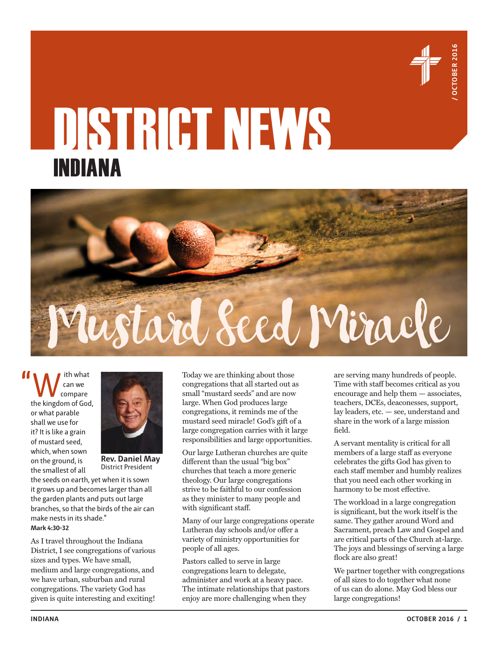

## DISTRICT NEWS INDIANA



ith what can we compare the kingdom of God, or what parable shall we use for it? It is like a grain of mustard seed, which, when sown on the ground, is the smallest of all



**Rev. Daniel May** District President

the seeds on earth, yet when it is sown it grows up and becomes larger than all the garden plants and puts out large branches, so that the birds of the air can make nests in its shade." **Mark 4:30-32**

As I travel throughout the Indiana District, I see congregations of various sizes and types. We have small, medium and large congregations, and we have urban, suburban and rural congregations. The variety God has given is quite interesting and exciting! Today we are thinking about those congregations that all started out as small "mustard seeds" and are now large. When God produces large congregations, it reminds me of the mustard seed miracle! God's gift of a large congregation carries with it large responsibilities and large opportunities.

Our large Lutheran churches are quite different than the usual "big box" churches that teach a more generic theology. Our large congregations strive to be faithful to our confession as they minister to many people and with significant staff.

Many of our large congregations operate Lutheran day schools and/or offer a variety of ministry opportunities for people of all ages.

Pastors called to serve in large congregations learn to delegate, administer and work at a heavy pace. The intimate relationships that pastors enjoy are more challenging when they

are serving many hundreds of people. Time with staff becomes critical as you encourage and help them — associates, teachers, DCEs, deaconesses, support, lay leaders, etc. — see, understand and share in the work of a large mission field.

A servant mentality is critical for all members of a large staff as everyone celebrates the gifts God has given to each staff member and humbly realizes that you need each other working in harmony to be most effective.

The workload in a large congregation is significant, but the work itself is the same. They gather around Word and Sacrament, preach Law and Gospel and are critical parts of the Church at-large. The joys and blessings of serving a large flock are also great!

We partner together with congregations of all sizes to do together what none of us can do alone. May God bless our large congregations!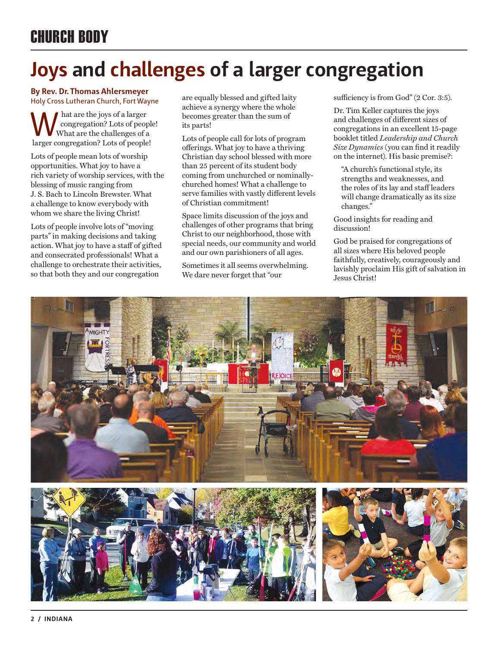## **Joys and challenges of a larger congregation**

#### **By Rev. Dr. Thomas Ahlersmeyer**  Holy Cross Lutheran Church, Fort Wayne

hat are the joys of a larger congregation? Lots of people! What are the challenges of a larger congregation? Lots of people!

Lots of people mean lots of worship opportunities. What joy to have a rich variety of worship services, with the blessing of music ranging from J. S. Bach to Lincoln Brewster. What a challenge to know everybody with whom we share the living Christ!

Lots of people involve lots of "moving parts" in making decisions and taking action. What joy to have a staff of gifted and consecrated professionals! What a challenge to orchestrate their activities, so that both they and our congregation

are equally blessed and gifted laity achieve a synergy where the whole becomes greater than the sum of its parts!

Lots of people call for lots of program offerings. What joy to have a thriving Christian day school blessed with more than 25 percent of its student body coming from unchurched or nominallychurched homes! What a challenge to serve families with vastly different levels of Christian commitment!

Space limits discussion of the joys and challenges of other programs that bring Christ to our neighborhood, those with special needs, our community and world and our own parishioners of all ages.

Sometimes it all seems overwhelming. We dare never forget that "our

sufficiency is from God" (2 Cor. 3:5).

Dr. Tim Keller captures the joys and challenges of different sizes of congregations in an excellent 15-page booklet titled *Leadership and Church Size Dynamics* (you can find it readily on the internet). His basic premise?:

"A church's functional style, its strengths and weaknesses, and the roles of its lay and staff leaders will change dramatically as its size changes."

Good insights for reading and discussion!

God be praised for congregations of all sizes where His beloved people faithfully, creatively, courageously and lavishly proclaim His gift of salvation in Jesus Christ!

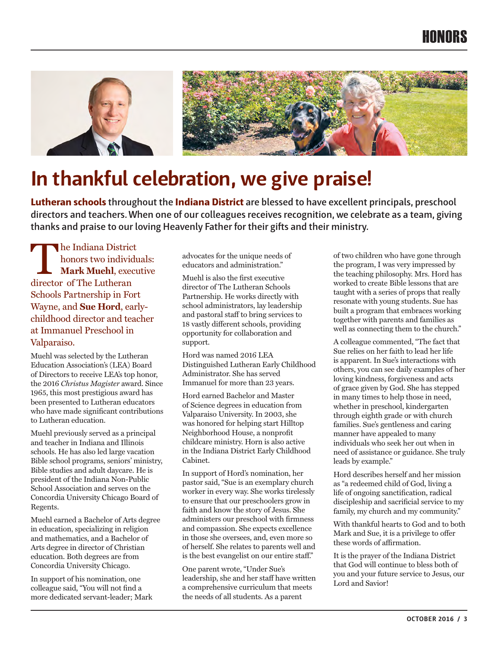### HONORS



## **In thankful celebration, we give praise!**

**Lutheran schools throughout the Indiana District are blessed to have excellent principals, preschool directors and teachers. When one of our colleagues receives recognition, we celebrate as a team, giving thanks and praise to our loving Heavenly Father for their gifts and their ministry.**

The Indiana District honors two individuals: **Mark Muehl**, executive director of The Lutheran Schools Partnership in Fort Wayne, and **Sue Hord**, earlychildhood director and teacher at Immanuel Preschool in Valparaiso.

Muehl was selected by the Lutheran Education Association's (LEA) Board of Directors to receive LEA's top honor, the 2016 *Christus Magister* award. Since 1965, this most prestigious award has been presented to Lutheran educators who have made significant contributions to Lutheran education.

Muehl previously served as a principal and teacher in Indiana and Illinois schools. He has also led large vacation Bible school programs, seniors' ministry, Bible studies and adult daycare. He is president of the Indiana Non-Public School Association and serves on the Concordia University Chicago Board of Regents.

Muehl earned a Bachelor of Arts degree in education, specializing in religion and mathematics, and a Bachelor of Arts degree in director of Christian education. Both degrees are from Concordia University Chicago.

In support of his nomination, one colleague said, "You will not find a more dedicated servant-leader; Mark advocates for the unique needs of educators and administration."

Muehl is also the first executive director of The Lutheran Schools Partnership. He works directly with school administrators, lay leadership and pastoral staff to bring services to 18 vastly different schools, providing opportunity for collaboration and support.

Hord was named 2016 LEA Distinguished Lutheran Early Childhood Administrator. She has served Immanuel for more than 23 years.

Hord earned Bachelor and Master of Science degrees in education from Valparaiso University. In 2003, she was honored for helping start Hilltop Neighborhood House, a nonprofit childcare ministry. Horn is also active in the Indiana District Early Childhood Cabinet.

In support of Hord's nomination, her pastor said, "Sue is an exemplary church worker in every way. She works tirelessly to ensure that our preschoolers grow in faith and know the story of Jesus. She administers our preschool with firmness and compassion. She expects excellence in those she oversees, and, even more so of herself. She relates to parents well and is the best evangelist on our entire staff."

One parent wrote, "Under Sue's leadership, she and her staff have written a comprehensive curriculum that meets the needs of all students. As a parent

of two children who have gone through the program, I was very impressed by the teaching philosophy. Mrs. Hord has worked to create Bible lessons that are taught with a series of props that really resonate with young students. Sue has built a program that embraces working together with parents and families as well as connecting them to the church."

A colleague commented, "The fact that Sue relies on her faith to lead her life is apparent. In Sue's interactions with others, you can see daily examples of her loving kindness, forgiveness and acts of grace given by God. She has stepped in many times to help those in need, whether in preschool, kindergarten through eighth grade or with church families. Sue's gentleness and caring manner have appealed to many individuals who seek her out when in need of assistance or guidance. She truly leads by example."

Hord describes herself and her mission as "a redeemed child of God, living a life of ongoing sanctification, radical discipleship and sacrificial service to my family, my church and my community."

With thankful hearts to God and to both Mark and Sue, it is a privilege to offer these words of affirmation.

It is the prayer of the Indiana District that God will continue to bless both of you and your future service to Jesus, our Lord and Savior!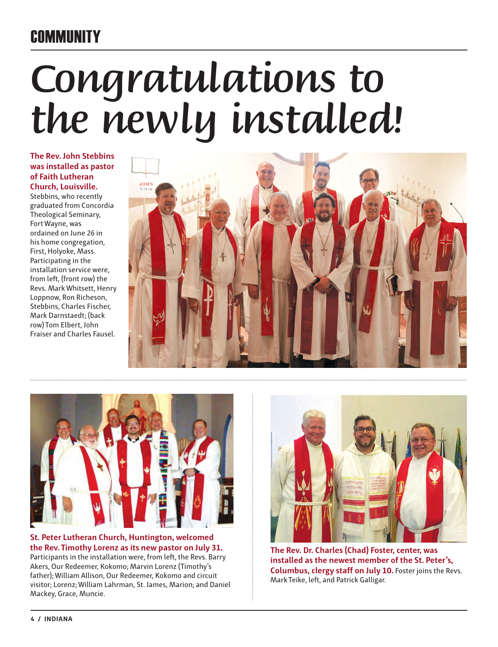## **COMMUNITY**

# *Congratulations to the newly installed!*

**The Rev. John Stebbins was installed as pastor of Faith Lutheran Church, Louisville.**

Stebbins, who recently graduated from Concordia Theological Seminary, Fort Wayne, was ordained on June 26 in his home congregation, First, Holyoke, Mass. Participating in the installation service were, from left, (front row) the Revs. Mark Whitsett, Henry Loppnow, Ron Richeson, Stebbins, Charles Fischer, Mark Darnstaedt; (back row) Tom Elbert, John Fraiser and Charles Fausel.





**St. Peter Lutheran Church, Huntington, welcomed the Rev. Timothy Lorenz as its new pastor on July 31.** Participants in the installation were, from left, the Revs. Barry Akers, Our Redeemer, Kokomo; Marvin Lorenz (Timothy's father); William Allison, Our Redeemer, Kokomo and circuit visitor; Lorenz; William Lahrman, St. James, Marion; and Daniel Mackey, Grace, Muncie.



**The Rev. Dr. Charles (Chad) Foster, center, was installed as the newest member of the St. Peter's, Columbus, clergy staff on July 10.** Foster joins the Revs. Mark Teike, left, and Patrick Galligar.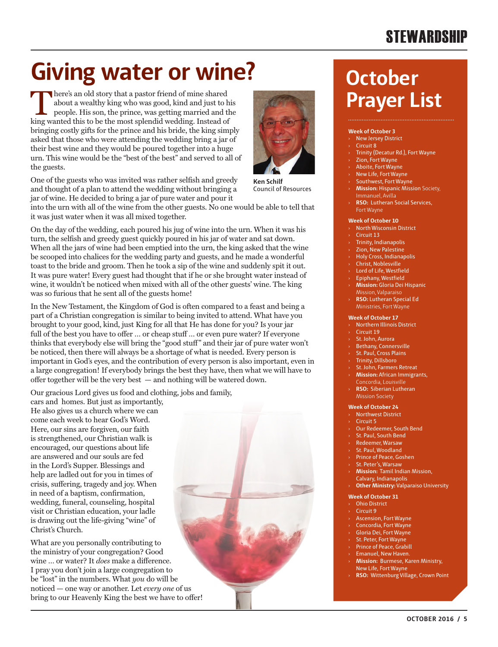## **STEWARDSHIP**

## **Giving water or wine? October**

There's an old story that a pastor friend of mine shared about a wealthy king who was good, kind and just to his people. His son, the prince, was getting married and the king wanted this to be the most splendid wedding. Instead of bringing costly gifts for the prince and his bride, the king simply asked that those who were attending the wedding bring a jar of their best wine and they would be poured together into a huge urn. This wine would be the "best of the best" and served to all of the guests.



into the urn with all of the wine from the other guests. No one would be able to tell that it was just water when it was all mixed together.

On the day of the wedding, each poured his jug of wine into the urn. When it was his turn, the selfish and greedy guest quickly poured in his jar of water and sat down. When all the jars of wine had been emptied into the urn, the king asked that the wine be scooped into chalices for the wedding party and guests, and he made a wonderful toast to the bride and groom. Then he took a sip of the wine and suddenly spit it out. It was pure water! Every guest had thought that if he or she brought water instead of wine, it wouldn't be noticed when mixed with all of the other guests' wine. The king was so furious that he sent all of the guests home!

In the New Testament, the Kingdom of God is often compared to a feast and being a part of a Christian congregation is similar to being invited to attend. What have you brought to your good, kind, just King for all that He has done for you? Is your jar full of the best you have to offer … or cheap stuff … or even pure water? If everyone thinks that everybody else will bring the "good stuff" and their jar of pure water won't be noticed, then there will always be a shortage of what is needed. Every person is important in God's eyes, and the contribution of every person is also important, even in a large congregation! If everybody brings the best they have, then what we will have to offer together will be the very best — and nothing will be watered down.

Our gracious Lord gives us food and clothing, jobs and family,

cars and homes. But just as importantly, He also gives us a church where we can come each week to hear God's Word. Here, our sins are forgiven, our faith is strengthened, our Christian walk is encouraged, our questions about life are answered and our souls are fed in the Lord's Supper. Blessings and help are ladled out for you in times of crisis, suffering, tragedy and joy. When in need of a baptism, confirmation, wedding, funeral, counseling, hospital visit or Christian education, your ladle is drawing out the life-giving "wine" of Christ's Church.

What are you personally contributing to the ministry of your congregation? Good wine … or water? It *does* make a difference. I pray you don't join a large congregation to be "lost" in the numbers. What *you* do will be noticed — one way or another. Let *every one* of us bring to our Heavenly King the best we have to offer!



**Ken Schilf** Council of Resources

# **Prayer List**

#### **Week of October 3**

- **New Jersey District**
- Circuit 8
- Trinity (Decatur Rd.), Fort Wayne
- Zion, Fort Wayne
- Aboite, Fort Wayne
- New Life, Fort Wayne
- Southwest, Fort Wayne
- › **Mission:** Hispanic Mission Society, Immanuel, Avilla
- **RSO:** Lutheran Social Services, Fort Wayne

#### **Week of October 10**

- **North Wisconsin District**
- Circuit 13
- **Trinity, Indianapolis**
- Zion, New Palestine
- › Holy Cross, Indianapolis
- Christ, Noblesville
- Lord of Life, Westfield
- › Epiphany, Westfield › **Mission:** Gloria Dei Hispanic
- Mission, Valparaiso
- › **RSO:** Lutheran Special Ed Ministries, Fort Wayne

#### **Week of October 17**

- › Northern Illinois District
- **Circuit 19**
- St. John, Aurora
- Bethany, Connersville
- St. Paul, Cross Plains
- **Trinity, Dillsboro**
- St. John, Farmers Retreat
- › **Mission:** African Immigrants,
- **RSO:** Siberian Lutheran
- Mission Society

#### **Week of October 24**

- **Northwest District**
- Circuit 5
- Our Redeemer, South Bend
- St. Paul, South Bend **Redeemer Warsaw**
- St. Paul, Woodland
- Prince of Peace, Goshen
- St. Peter's, Warsaw
- 
- › **Mission:** Tamil Indian Mission, Calvary, Indianapolis **Other Ministry: Valparaiso University** 
	-
- **Week of October 31**
- **Ohio District**
- **Circuit 9**
- Ascension, Fort Wayne
- Concordia, Fort Wayne Gloria Dei, Fort Wayne
- 
- St. Peter, Fort Wayne Prince of Peace, Grabill
- **Emanuel, New Haven.**
- › **Mission:** Burmese, Karen Ministry,
- New Life, Fort Wayne
- **RSO: Wittenburg Village, Crown Point**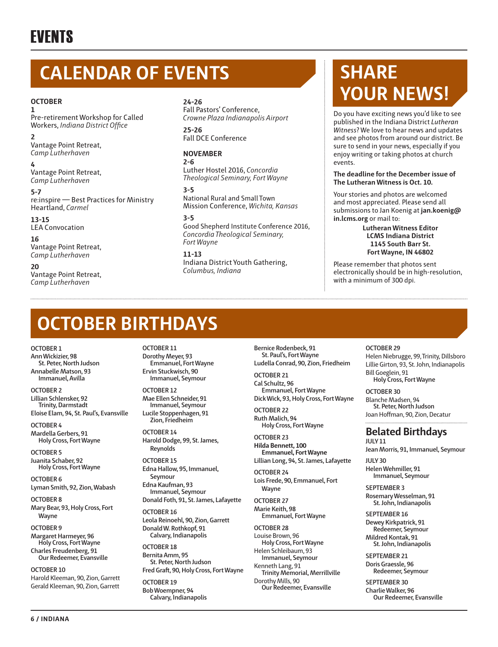## **EVENTS**

## **CALENDAR OF EVENTS**

#### **OCTOBER**

**1** Pre-retirement Workshop for Called Workers, *Indiana District Office*

**2** Vantage Point Retreat, *Camp Lutherhaven*

**4**

Vantage Point Retreat, *Camp Lutherhaven*

**5-7** re:inspire — Best Practices for Ministry Heartland, *Carmel* 

**13-15** LEA Convocation

**16** Vantage Point Retreat, *Camp Lutherhaven*

**20** Vantage Point Retreat, *Camp Lutherhaven*

#### **24-26**

Fall Pastors' Conference, *Crowne Plaza Indianapolis Airport*

#### **25-26** Fall DCE Conference

#### **NOVEMBER**

**2-6**

Luther Hostel 2016, *Concordia Theological Seminary, Fort Wayne*

#### **3-5**

National Rural and Small Town Mission Conference, *Wichita, Kansas*

#### **3-5**

Good Shepherd Institute Conference 2016, *Concordia Theological Seminary, Fort Wayne*

**11-13** Indiana District Youth Gathering, *Columbus, Indiana*

## **SHARE YOUR NEWS!**

Do you have exciting news you'd like to see published in the Indiana District *Lutheran Witness*? We love to hear news and updates and see photos from around our district. Be sure to send in your news, especially if you enjoy writing or taking photos at church events.

#### **The deadline for the December issue of The Lutheran Witness is Oct. 10.**

Your stories and photos are welcomed and most appreciated. Please send all submissions to Jan Koenig at **jan.koenig@ in.lcms.org** or mail to:

**Lutheran Witness Editor LCMS Indiana District 1145 South Barr St. Fort Wayne, IN 46802** 

Please remember that photos sent electronically should be in high-resolution, with a minimum of 300 dpi.

## **OCTOBER BIRTHDAYS**

**OCTOBER 1 Ann Wickizier, 98 St. Peter, North Judson Annabelle Matson, 93 Immanuel, Avilla**

**OCTOBER 2 Lillian Schlensker, 92 Trinity, Darmstadt Eloise Elam, 94, St. Paul's, Evansville**

**OCTOBER 4 Mardella Gerbers, 91 Holy Cross, Fort Wayne**

**OCTOBER 5 Juanita Schaber, 92 Holy Cross, Fort Wayne**

**OCTOBER 6 Lyman Smith, 92, Zion, Wabash**

**OCTOBER 8 Mary Bear, 93, Holy Cross, Fort Wayne** 

**OCTOBER 9 Margaret Harmeyer, 96 Holy Cross, Fort Wayne Charles Freudenberg, 91 Our Redeemer, Evansville**

**OCTOBER 10** Harold Kleeman, 90, Zion, Garrett Gerald Kleeman, 90, Zion, Garrett

**OCTOBER 11 Dorothy Meyer, 93 Emmanuel, Fort Wayne Ervin Stuckwisch, 90 Immanuel, Seymour**

**OCTOBER 12 Mae Ellen Schneider, 91 Immanuel, Seymour Lucile Stoppenhagen, 91 Zion, Friedheim**

**OCTOBER 14 Harold Dodge, 99, St. James, Reynolds**

**OCTOBER 15 Edna Hallow, 95, Immanuel,** 

**Seymour Edna Kaufman, 93 Immanuel, Seymour**

**Donald Foth, 91, St. James, Lafayette OCTOBER 16 Leola Reinoehl, 90, Zion, Garrett**

**Donald W. Rothkopf, 91 Calvary, Indianapolis**

**OCTOBER 18 Bernita Amm, 95 St. Peter, North Judson Fred Graft, 90, Holy Cross, Fort Wayne OCTOBER 19**

**Bob Woempner, 94 Calvary, Indianapolis** **Bernice Rodenbeck, 91 St. Paul's, Fort Wayne Ludella Conrad, 90, Zion, Friedheim**

**OCTOBER 21 Cal Schultz, 96 Emmanuel, Fort Wayne**

**Dick Wick, 93, Holy Cross, Fort Wayne OCTOBER 22**

**Ruth Malich, 94 Holy Cross, Fort Wayne**

**OCTOBER 23 Hilda Bennett, 100 Emmanuel, Fort Wayne**

**Lillian Long, 94, St. James, Lafayette OCTOBER 24**

**Lois Frede, 90, Emmanuel, Fort Wayne**

**OCTOBER 27 Marie Keith, 98 Emmanuel, Fort Wayne**

**OCTOBER 28** Louise Brown, 96 **Holy Cross, Fort Wayne** Helen Schleibaum, 93 **Immanuel, Seymour** Kenneth Lang, 91 **Trinity Memorial, Merrillville** Dorothy Mills, 90 **Our Redeemer, Evansville**

#### **OCTOBER 29**

Helen Niebrugge, 99, Trinity, Dillsboro Lillie Girton, 93, St. John, Indianapolis Bill Goeglein, 91 **Holy Cross, Fort Wayne**

**OCTOBER 30** Blanche Madsen, 94 **St. Peter, North Judson** Joan Hoffman, 90, Zion, Decatur

#### **Belated Birthdays**

**JULY 11 Jean Morris, 91, Immanuel, Seymour**

**JULY 30 Helen Wehmiller, 91 Immanuel, Seymour**

**SEPTEMBER 3 Rosemary Wesselman, 91 St. John, Indianapolis**

**SEPTEMBER 16 Dewey Kirkpatrick, 91 Redeemer, Seymour Mildred Kontak, 91 St. John, Indianapolis**

**SEPTEMBER 21 Doris Graessle, 96 Redeemer, Seymour**

**SEPTEMBER 30 Charlie Walker, 96 Our Redeemer, Evansville**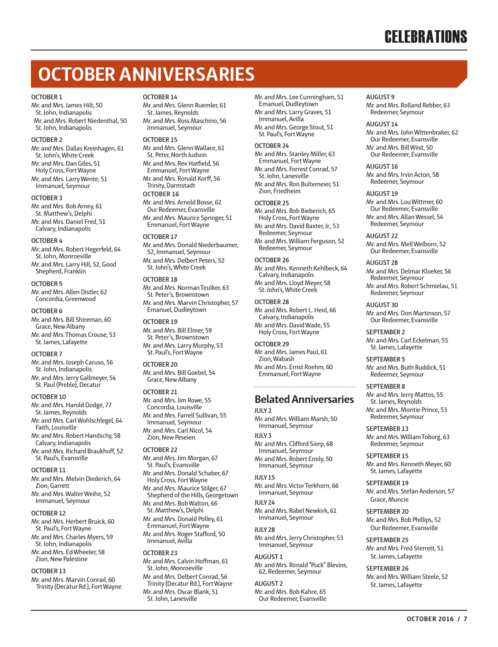## **OCTOBER ANNIVERSARIES**

#### **OCTOBER 1**

Mr. and Mrs. James Hilt, 50 St. John, Indianapolis Mr. and Mrs. Robert Niedenthal, 50 St. John, Indianapolis

#### **OCTOBER 2**

Mr. and Mrs. Dallas Kreinhagen, 61 St. John's, White Creek Mr. and Mrs. Dan Giles, 51 Holy Cross, Fort Wayne Mr. and Mrs. Larry Wente, 51 Immanuel, Seymour

#### **OCTOBER 3**

Mr. and Mrs. Bob Arney, 61 St. Matthew's, Delphi Mr. and Mrs. Daniel Fred, 51 Calvary, Indianapolis

#### **OCTOBER 4**

Mr. and Mrs. Robert Hegerfeld, 64 St. John, Monroeville Mr. and Mrs. Larry Hill, 52, Good Shepherd, Franklin

#### **OCTOBER 5**

Mr. and Mrs. Allen Distler, 62 Concordia, Greenwood

#### **OCTOBER 6**

Mr. and Mrs. Bill Shireman, 60 Grace, New Albany Mr. and Mrs. Thomas Crouse, 53 St. James, Lafayette

#### **OCTOBER 7**

Mr. and Mrs. Joseph Caruso, 56 St. John, Indianapolis. Mr. and Mrs. Jerry Gallmeyer, 54 St. Paul (Preble), Decatur

#### **OCTOBER 10**

Mr. and Mrs. Harold Dodge, 77 St. James, Reynolds Mr. and Mrs. Carl Wohlschlegel, 64 Faith, Louisville Mr. and Mrs. Robert Handschy, 58 Calvary, Indianapolis

Mr. and Mrs. Richard Braukhoff, 52 St. Paul's, Evansville

#### **OCTOBER 11**

Mr. and Mrs. Melvin Diederich, 64 Zion, Garrett Mr. and Mrs. Walter Weihe, 52 Immanuel, Seymour

#### **OCTOBER 12**

Mr. and Mrs. Herbert Bruick, 60 St. Paul's, Fort Wayne Mr. and Mrs. Charles Myers, 59 St. John, Indianapolis Mr. and Mrs. Ed Wheeler, 58 Zion, New Palestine

#### **OCTOBER 13**

Mr. and Mrs. Marvin Conrad, 60 Trinity (Decatur Rd.), Fort Wayne

#### **OCTOBER 14**

Mr. and Mrs. Glenn Ruemler, 61 St. James, Reynolds Mr. and Mrs. Ross Maschino, 56 Immanuel, Seymour

#### **OCTOBER 15**

Mr. and Mrs. Glenn Wallace, 61 St. Peter, North Judson Mr. and Mrs. Rex Hatfield, 56 Emmanuel, Fort Wayne Mr. and Mrs. Ronald Korff, 56 Trinity, Darmstadt **OCTOBER 16** Mr. and Mrs. Arnold Bosse, 62 Our Redeemer, Evansville

Mr. and Mrs. Maurice Springer, 51 Emmanuel, Fort Wayne

#### **OCTOBER 17**

Mr. and Mrs. Donald Niederbaumer, 52, Immanuel, Seymour Mr. and Mrs. Delbert Peters, 52 St. John's, White Creek

#### **OCTOBER 18**

Mr. and Mrs. Norman Teulker, 63 St. Peter's, Brownstown Mr. and Mrs. Marvin Christopher, 57 Emanuel, Dudleytown

#### **OCTOBER 19**

Mr. and Mrs. Bill Elmer, 59 St. Peter's, Brownstown Mr. and Mrs. Larry Murphy, 53 St. Paul's, Fort Wayne

#### **OCTOBER 20** Mr. and Mrs. Bill Goebel, 54 Grace, New Albany

**OCTOBER 21**

Mr. and Mrs. Jim Rowe, 55 Concordia, Louisville Mr. and Mrs. Farrell Sullivan, 55 Immanuel, Seymour Mr. and Mrs. Carl Nicol, 54 Zion, New Peseien

#### **OCTOBER 22**

Mr. and Mrs. Jim Morgan, 67 St. Paul's, Evansville Mr. and Mrs. Donald Schaber, 67 Holy Cross, Fort Wayne Mr. and Mrs. Maurice Stilger, 67 Shepherd of the Hills, Georgetown Mr. and Mrs. Bob Walton, 66 St. Matthew's, Delphi Mr. and Mrs. Donald Polley, 61 Emmanuel, Fort Wayne Mr. and Mrs. Roger Stafford, 50 Immanuel, Avilla

#### **OCTOBER 23**

Mr. and Mrs. Calvin Hoffman, 61 St. John, Monroeville Mr. and Mrs. Delbert Conrad, 56 Trinity (Decatur Rd.), Fort Wayne Mr. and Mrs. Oscar Blank, 51 St. John, Lanesville

Mr. and Mrs. Lee Cunningham, 51 Emanuel, Dudleytown Mr. and Mrs. Larry Graves, 51 Immanuel, Avilla Mr. and Mrs. George Stout, 51 St. Paul's, Fort Wayne

**OCTOBER 24**

Mr. and Mrs. Stanley Miller, 63 Emmanuel, Fort Wayne Mr. and Mrs. Forrest Conrad, 57 St. John, Lanesville

Mr. and Mrs. Ron Bultemeier, 51 Zion, Friedheim

#### **OCTOBER 25**

Mr. and Mrs. Bob Bieberich, 65 Holy Cross, Fort Wayne Mr. and Mrs. David Baxter, Jr., 53 Redeemer, Seymour Mr. and Mrs. William Ferguson, 52 Redeemer, Seymour

#### **OCTOBER 26**

Mr. and Mrs. Kenneth Kehlbeck, 64 Calvary, Indianapolis Mr. and Mrs. Lloyd Meyer, 58 St. John's, White Creek

#### **OCTOBER 28** Mr. and Mrs. Robert L. Heid, 66 Calvary, Indianapolis Mr. and Mrs. David Wade, 55 Holy Cross, Fort Wayne

**OCTOBER 29** Mr. and Mrs. James Paul, 61 Zion, Wabash Mr. and Mrs. Ernst Roehm, 60 Emmanuel, Fort Wayne

#### **Belated Anniversaries**

**JULY 2** Mr. and Mrs. William Marsh, 50 Immanuel, Seymour **JULY 3** Mr. and Mrs. Clifford Sierp, 68 Immanuel, Seymour Mr. and Mrs. Robert Emily, 50 Immanuel, Seymour

**JULY 15** Mr. and Mrs. Victor Terkhorn, 66 Immanuel, Seymour **JULY 24** Mr. and Mrs. Rabel Newkirk, 61

**JULY 28** Mr. and Mrs. Jerry Christopher, 53 Immanuel, Seymour

Immanuel, Seymour

**AUGUST 1** Mr. and Mrs. Ronald "Puck" Blevins, 62, Redeemer, Seymour

**AUGUST 2** Mr. and Mrs. Bob Kahre, 65 Our Redeemer, Evansville **AUGUST 9** Mr. and Mrs. Rolland Rebber, 63 Redeemer, Seymour

#### **AUGUST 14**

Mr. and Mrs. John Wittenbraker, 62 Our Redeemer, Evansville Mr. and Mrs. Bill Wiist, 50 Our Redeemer, Evansville

**AUGUST 16** Mr. and Mrs. Irvin Acton, 58 Redeemer, Seymour

#### **AUGUST 19**

Mr. and Mrs. Lou Wittmer, 60 Our Redeemer, Evansville Mr. and Mrs. Allan Wessel, 54 Redeemer, Seymour

**AUGUST 22** Mr. and Mrs. Mell Welborn, 52 Our Redeemer, Evansville

#### **AUGUST 28**

Mr. and Mrs. Delmar Kloeker, 56 Redeemer, Seymour Mr. and Mrs. Robert Schmielau, 51 Redeemer, Seymour

**AUGUST 30** Mr. and Mrs. Don Martinson, 57 Our Redeemer, Evansville

#### **SEPTEMBER 2** Mr. and Mrs. Carl Eckelman, 55

St. James, Lafayette **SEPTEMBER 5**

Mr. and Mrs. Buth Ruddick, 51 Redeemer, Seymour

**SEPTEMBER 8** Mr. and Mrs. Jerry Mattos, 55 St. James, Reynolds Mr. and Mrs. Montie Prince, 53 Redeemer, Seymour

**SEPTEMBER 13** Mr. and Mrs. William Toborg, 63 Redeemer, Seymour

**SEPTEMBER 15** Mr. and Mrs. Kenneth Meyer, 60 St. James, Lafayette

**SEPTEMBER 19** Mr. and Mrs. Stefan Anderson, 57 Grace, Muncie

**SEPTEMBER 20** Mr. and Mrs. Bob Phillips, 52 Our Redeemer, Evansville

**SEPTEMBER 25** Mr. and Mrs. Fred Sterrett, 51 St. James, Lafayette

**SEPTEMBER 26** Mr. and Mrs. William Steele, 52 St. James, Lafayette